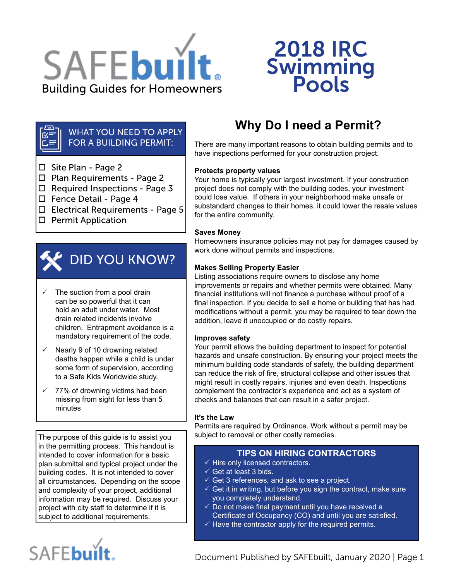

# 2018 IRC Swimming<br>Pools

#### WHAT YOU NEED TO APPLY FOR A BUILDING PERMIT:

 $\Box$  Site Plan - Page 2

 $E =$ 

- □ Plan Requirements Page 2
- $\square$  Required Inspections Page 3
- □ Fence Detail Page 4
- $\Box$  Electrical Requirements Page 5
- $\square$  Permit Application



- The suction from a pool drain can be so powerful that it can hold an adult under water. Most drain related incidents involve children. Entrapment avoidance is a mandatory requirement of the code.
- $\checkmark$  Nearly 9 of 10 drowning related deaths happen while a child is under some form of supervision, according to a Safe Kids Worldwide study.
- $\sqrt{77\%}$  of drowning victims had been missing from sight for less than 5 minutes

The purpose of this guide is to assist you in the permitting process. This handout is intended to cover information for a basic plan submittal and typical project under the building codes. It is not intended to cover all circumstances. Depending on the scope and complexity of your project, additional information may be required. Discuss your project with city staff to determine if it is subject to additional requirements.

# SAFEbuilt.

# **Why Do I need a Permit?**

There are many important reasons to obtain building permits and to have inspections performed for your construction project.

#### **Protects property values**

Your home is typically your largest investment. If your construction project does not comply with the building codes, your investment could lose value. If others in your neighborhood make unsafe or substandard changes to their homes, it could lower the resale values for the entire community.

#### **Saves Money**

Homeowners insurance policies may not pay for damages caused by work done without permits and inspections.

#### **Makes Selling Property Easier**

Listing associations require owners to disclose any home improvements or repairs and whether permits were obtained. Many financial institutions will not finance a purchase without proof of a final inspection. If you decide to sell a home or building that has had modifications without a permit, you may be required to tear down the addition, leave it unoccupied or do costly repairs.

#### **Improves safety**

Your permit allows the building department to inspect for potential hazards and unsafe construction. By ensuring your project meets the minimum building code standards of safety, the building department can reduce the risk of fire, structural collapse and other issues that might result in costly repairs, injuries and even death. Inspections complement the contractor's experience and act as a system of checks and balances that can result in a safer project.

#### **It's the Law**

Permits are required by Ordinance. Work without a permit may be subject to removal or other costly remedies.

#### **TIPS ON HIRING CONTRACTORS**

- $\checkmark$  Hire only licensed contractors.
- $\checkmark$  Get at least 3 bids.
- $\checkmark$  Get 3 references, and ask to see a project.
- $\checkmark$  Get it in writing, but before you sign the contract, make sure you completely understand.
- $\checkmark$  Do not make final payment until you have received a Certificate of Occupancy (CO) and until you are satisfied.
- $\checkmark$  Have the contractor apply for the required permits.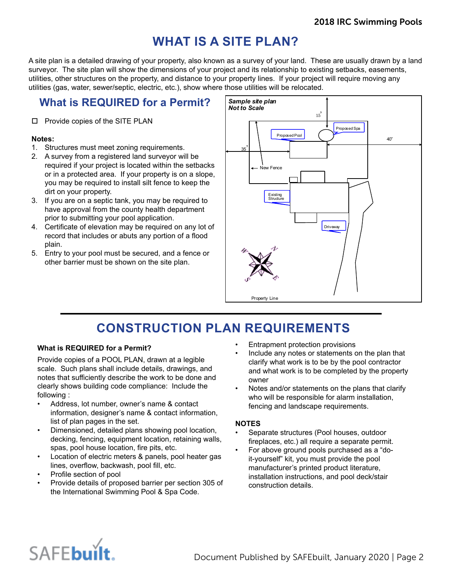## **WHAT IS A SITE PLAN?**

A site plan is a detailed drawing of your property, also known as a survey of your land. These are usually drawn by a land surveyor. The site plan will show the dimensions of your project and its relationship to existing setbacks, easements, utilities, other structures on the property, and distance to your property lines. If your project will require moving any utilities (gas, water, sewer/septic, electric, etc.), show where those utilities will be relocated.

## **What is REQUIRED for a Permit?**

#### □ Provide copies of the SITE PLAN

#### **Notes:**

- 1. Structures must meet zoning requirements.
- 2. A survey from a registered land surveyor will be required if your project is located within the setbacks or in a protected area. If your property is on a slope, you may be required to install silt fence to keep the dirt on your property.
- 3. If you are on a septic tank, you may be required to have approval from the county health department prior to submitting your pool application.
- 4. Certificate of elevation may be required on any lot of record that includes or abuts any portion of a flood plain.
- 5. Entry to your pool must be secured, and a fence or other barrier must be shown on the site plan.



# **CONSTRUCTION PLAN REQUIREMENTS**

#### **What is REQUIRED for a Permit?**

Provide copies of a POOL PLAN, drawn at a legible scale. Such plans shall include details, drawings, and notes that sufficiently describe the work to be done and clearly shows building code compliance: Include the following :

- Address, lot number, owner's name & contact information, designer's name & contact information, list of plan pages in the set.
- Dimensioned, detailed plans showing pool location, decking, fencing, equipment location, retaining walls, spas, pool house location, fire pits, etc.
- Location of electric meters & panels, pool heater gas lines, overflow, backwash, pool fill, etc.
- Profile section of pool
- Provide details of proposed barrier per section 305 of the International Swimming Pool & Spa Code.
- Entrapment protection provisions
- Include any notes or statements on the plan that clarify what work is to be by the pool contractor and what work is to be completed by the property owner
- Notes and/or statements on the plans that clarify who will be responsible for alarm installation, fencing and landscape requirements.

#### **NOTES**

- Separate structures (Pool houses, outdoor fireplaces, etc.) all require a separate permit.
- For above ground pools purchased as a "doit-yourself" kit, you must provide the pool manufacturer's printed product literature, installation instructions, and pool deck/stair construction details.

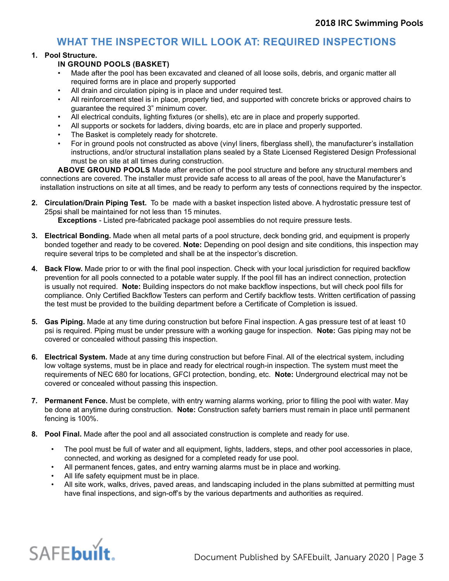## **WHAT THE INSPECTOR WILL LOOK AT: REQUIRED INSPECTIONS**

#### **1. Pool Structure.**

#### **IN GROUND POOLS (BASKET)**

- Made after the pool has been excavated and cleaned of all loose soils, debris, and organic matter all required forms are in place and properly supported
- All drain and circulation piping is in place and under required test.
- All reinforcement steel is in place, properly tied, and supported with concrete bricks or approved chairs to guarantee the required 3" minimum cover.
- All electrical conduits, lighting fixtures (or shells), etc are in place and properly supported.
- All supports or sockets for ladders, diving boards, etc are in place and properly supported.
- The Basket is completely ready for shotcrete.
- For in ground pools not constructed as above (vinyl liners, fiberglass shell), the manufacturer's installation instructions, and/or structural installation plans sealed by a State Licensed Registered Design Professional must be on site at all times during construction.

**ABOVE GROUND POOLS** Made after erection of the pool structure and before any structural members and connections are covered. The installer must provide safe access to all areas of the pool, have the Manufacturer's installation instructions on site at all times, and be ready to perform any tests of connections required by the inspector.

**2. Circulation/Drain Piping Test.** To be made with a basket inspection listed above. A hydrostatic pressure test of 25psi shall be maintained for not less than 15 minutes.

**Exceptions** - Listed pre-fabricated package pool assemblies do not require pressure tests.

- **3. Electrical Bonding.** Made when all metal parts of a pool structure, deck bonding grid, and equipment is properly bonded together and ready to be covered. **Note:** Depending on pool design and site conditions, this inspection may require several trips to be completed and shall be at the inspector's discretion.
- **4. Back Flow.** Made prior to or with the final pool inspection. Check with your local jurisdiction for required backflow prevention for all pools connected to a potable water supply. If the pool fill has an indirect connection, protection is usually not required. **Note:** Building inspectors do not make backflow inspections, but will check pool fills for compliance. Only Certified Backflow Testers can perform and Certify backflow tests. Written certification of passing the test must be provided to the building department before a Certificate of Completion is issued.
- **5. Gas Piping.** Made at any time during construction but before Final inspection. A gas pressure test of at least 10 psi is required. Piping must be under pressure with a working gauge for inspection. **Note:** Gas piping may not be covered or concealed without passing this inspection.
- **6. Electrical System.** Made at any time during construction but before Final. All of the electrical system, including low voltage systems, must be in place and ready for electrical rough-in inspection. The system must meet the requirements of NEC 680 for locations, GFCI protection, bonding, etc. **Note:** Underground electrical may not be covered or concealed without passing this inspection.
- **7. Permanent Fence.** Must be complete, with entry warning alarms working, prior to filling the pool with water. May be done at anytime during construction. **Note:** Construction safety barriers must remain in place until permanent fencing is 100%.
- **8. Pool Final.** Made after the pool and all associated construction is complete and ready for use.
	- The pool must be full of water and all equipment, lights, ladders, steps, and other pool accessories in place, connected, and working as designed for a completed ready for use pool.
	- All permanent fences, gates, and entry warning alarms must be in place and working.
	- All life safety equipment must be in place.
	- All site work, walks, drives, paved areas, and landscaping included in the plans submitted at permitting must have final inspections, and sign-off's by the various departments and authorities as required.

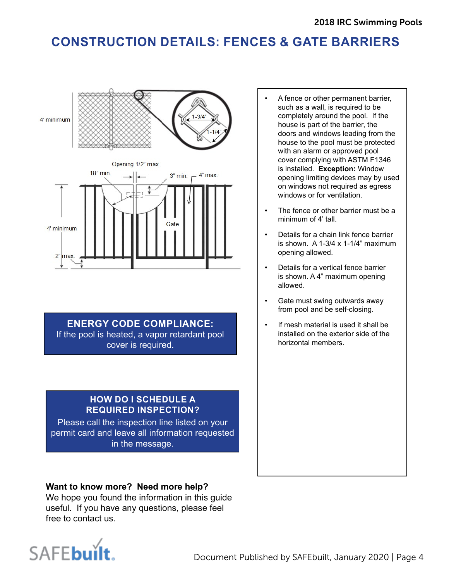# **CONSTRUCTION DETAILS: FENCES & GATE BARRIERS**



**ENERGY CODE COMPLIANCE:**

If the pool is heated, a vapor retardant pool cover is required.

### **HOW DO I SCHEDULE A REQUIRED INSPECTION?**

Please call the inspection line listed on your permit card and leave all information requested in the message.

### **Want to know more? Need more help?**

We hope you found the information in this guide useful. If you have any questions, please feel free to contact us.



- A fence or other permanent barrier, such as a wall, is required to be completely around the pool. If the house is part of the barrier, the doors and windows leading from the house to the pool must be protected with an alarm or approved pool cover complying with ASTM F1346 is installed. **Exception:** Window opening limiting devices may by used on windows not required as egress windows or for ventilation.
- The fence or other barrier must be a minimum of 4' tall.
- Details for a chain link fence barrier is shown. A 1-3/4  $\times$  1-1/4" maximum opening allowed.
- Details for a vertical fence barrier is shown. A 4" maximum opening allowed.
- Gate must swing outwards away from pool and be self-closing.
- If mesh material is used it shall be installed on the exterior side of the horizontal members.